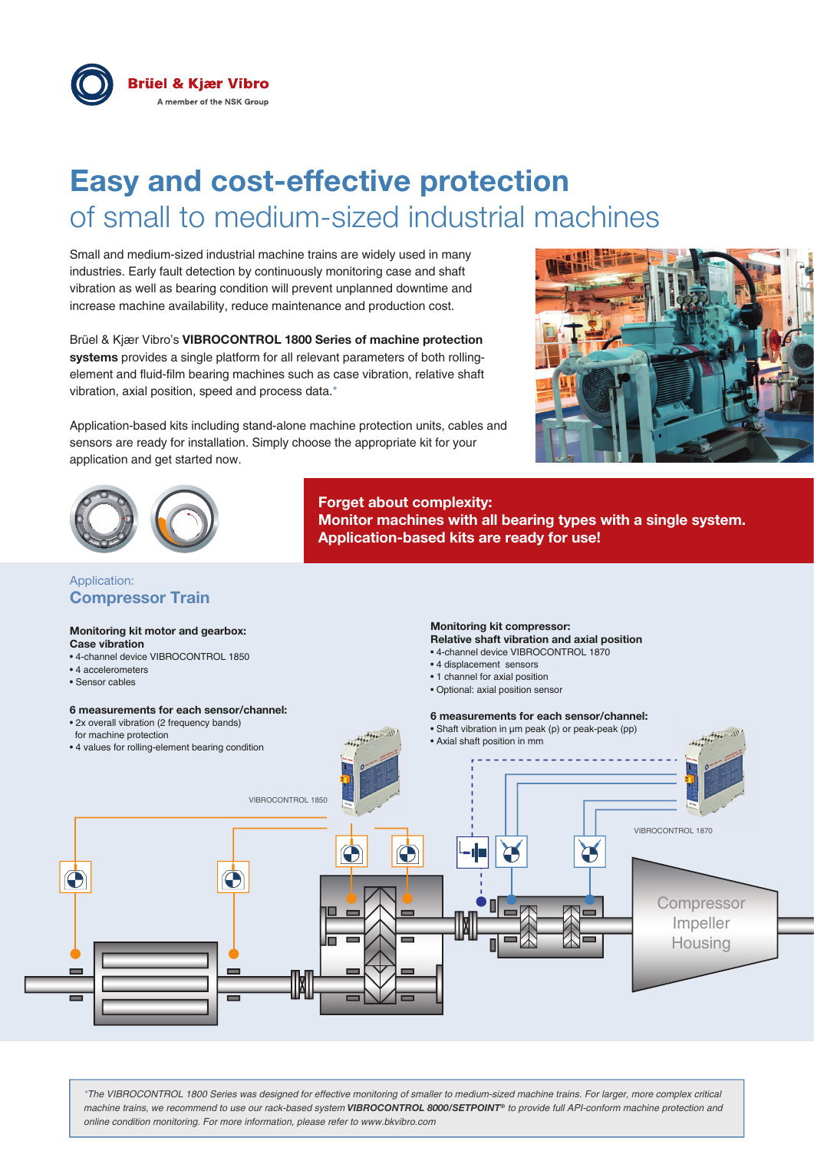

# **Easy and cost-effective protection** of small to medium-sized industrial machines

Small and medium-sized industrial machine trains are widely used in many industries. Early fault detection by continuously monitoring case and shaft vibration as well as bearing condition will prevent unplanned downtime and increase machine availability, reduce maintenance and production cost.

Brüel & Kjær Vibro's **VIBROCONTROL 1800 Series of machine protection systems** provides a single platform for all relevant parameters of both rollingelement and fluid-film bearing machines such as case vibration, relative shaft vibration, axial position, speed and process data.\*

Application-based kits including stand-alone machine protection units, cables and sensors are ready for installation. Simply choose the appropriate kit for your application and get started now.





## Application: **Compressor Train**

#### **Monitoring kit motor and gearbox: Case vibration**

- 4-channel device VIBROCONTROL 1850
- 4 accelerometers
- Sensor cables

## **6 measurements for each sensor/channel:**

• 2x overall vibration (2 frequency bands)

## **Monitoring kit compressor:**

**Relative shaft vibration and axial position** • 4-channel device VIBROCONTROL 1870

**Monitor machines with all bearing types with a single system.** 

- 
- 4 displacement sensors

**Application-based kits are ready for use!**

- 1 channel for axial position
- Optional: axial position sensor

### **6 measurements for each sensor/channel:**



**Forget about complexity:** 

*\*The VIBROCONTROL 1800 Series was designed for effective monitoring of smaller to medium-sized machine trains. For larger, more complex critical machine trains, we recommend to use our rack-based system VIBROCONTROL 8000/SETPOINT® to provide full API-conform machine protection and online condition monitoring. For more information, please refer to www.bkvibro.com*